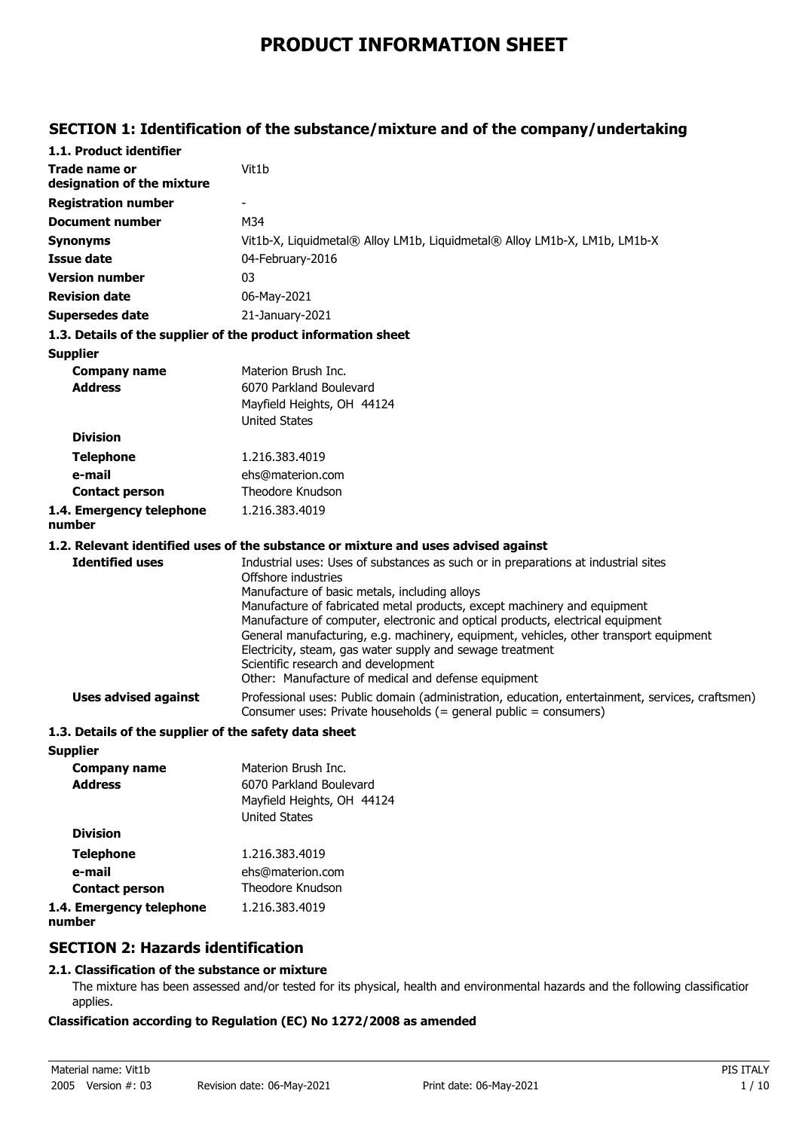# **PRODUCT INFORMATION SHEET**

# **SECTION 1: Identification of the substance/mixture and of the company/undertaking**

| 1.1. Product identifier                                       |                                                                                                                                                                                                                                                                                                                                                                                                                                                                                                                                                                              |
|---------------------------------------------------------------|------------------------------------------------------------------------------------------------------------------------------------------------------------------------------------------------------------------------------------------------------------------------------------------------------------------------------------------------------------------------------------------------------------------------------------------------------------------------------------------------------------------------------------------------------------------------------|
| Trade name or<br>designation of the mixture                   | Vit1b                                                                                                                                                                                                                                                                                                                                                                                                                                                                                                                                                                        |
| <b>Registration number</b>                                    |                                                                                                                                                                                                                                                                                                                                                                                                                                                                                                                                                                              |
| <b>Document number</b>                                        | M34                                                                                                                                                                                                                                                                                                                                                                                                                                                                                                                                                                          |
| <b>Synonyms</b>                                               | Vit1b-X, Liquidmetal® Alloy LM1b, Liquidmetal® Alloy LM1b-X, LM1b, LM1b-X                                                                                                                                                                                                                                                                                                                                                                                                                                                                                                    |
| Issue date                                                    | 04-February-2016                                                                                                                                                                                                                                                                                                                                                                                                                                                                                                                                                             |
| <b>Version number</b>                                         | 03                                                                                                                                                                                                                                                                                                                                                                                                                                                                                                                                                                           |
| <b>Revision date</b>                                          | 06-May-2021                                                                                                                                                                                                                                                                                                                                                                                                                                                                                                                                                                  |
| <b>Supersedes date</b>                                        | 21-January-2021                                                                                                                                                                                                                                                                                                                                                                                                                                                                                                                                                              |
| 1.3. Details of the supplier of the product information sheet |                                                                                                                                                                                                                                                                                                                                                                                                                                                                                                                                                                              |
| <b>Supplier</b>                                               |                                                                                                                                                                                                                                                                                                                                                                                                                                                                                                                                                                              |
| <b>Company name</b>                                           | Materion Brush Inc.                                                                                                                                                                                                                                                                                                                                                                                                                                                                                                                                                          |
| <b>Address</b>                                                | 6070 Parkland Boulevard                                                                                                                                                                                                                                                                                                                                                                                                                                                                                                                                                      |
|                                                               | Mayfield Heights, OH 44124                                                                                                                                                                                                                                                                                                                                                                                                                                                                                                                                                   |
| <b>Division</b>                                               | <b>United States</b>                                                                                                                                                                                                                                                                                                                                                                                                                                                                                                                                                         |
|                                                               |                                                                                                                                                                                                                                                                                                                                                                                                                                                                                                                                                                              |
| <b>Telephone</b>                                              | 1.216.383.4019                                                                                                                                                                                                                                                                                                                                                                                                                                                                                                                                                               |
| e-mail<br><b>Contact person</b>                               | ehs@materion.com<br>Theodore Knudson                                                                                                                                                                                                                                                                                                                                                                                                                                                                                                                                         |
| 1.4. Emergency telephone                                      | 1.216.383.4019                                                                                                                                                                                                                                                                                                                                                                                                                                                                                                                                                               |
| number                                                        |                                                                                                                                                                                                                                                                                                                                                                                                                                                                                                                                                                              |
|                                                               | 1.2. Relevant identified uses of the substance or mixture and uses advised against                                                                                                                                                                                                                                                                                                                                                                                                                                                                                           |
| <b>Identified uses</b>                                        | Industrial uses: Uses of substances as such or in preparations at industrial sites<br>Offshore industries<br>Manufacture of basic metals, including alloys<br>Manufacture of fabricated metal products, except machinery and equipment<br>Manufacture of computer, electronic and optical products, electrical equipment<br>General manufacturing, e.g. machinery, equipment, vehicles, other transport equipment<br>Electricity, steam, gas water supply and sewage treatment<br>Scientific research and development<br>Other: Manufacture of medical and defense equipment |
| <b>Uses advised against</b>                                   | Professional uses: Public domain (administration, education, entertainment, services, craftsmen)<br>Consumer uses: Private households (= general public = consumers)                                                                                                                                                                                                                                                                                                                                                                                                         |
| 1.3. Details of the supplier of the safety data sheet         |                                                                                                                                                                                                                                                                                                                                                                                                                                                                                                                                                                              |
| <b>Supplier</b>                                               |                                                                                                                                                                                                                                                                                                                                                                                                                                                                                                                                                                              |
| <b>Company name</b>                                           | Materion Brush Inc.                                                                                                                                                                                                                                                                                                                                                                                                                                                                                                                                                          |
| <b>Address</b>                                                | 6070 Parkland Boulevard                                                                                                                                                                                                                                                                                                                                                                                                                                                                                                                                                      |
|                                                               | Mayfield Heights, OH 44124<br><b>United States</b>                                                                                                                                                                                                                                                                                                                                                                                                                                                                                                                           |
| <b>Division</b>                                               |                                                                                                                                                                                                                                                                                                                                                                                                                                                                                                                                                                              |
| <b>Telephone</b>                                              | 1.216.383.4019                                                                                                                                                                                                                                                                                                                                                                                                                                                                                                                                                               |
| e-mail                                                        | ehs@materion.com                                                                                                                                                                                                                                                                                                                                                                                                                                                                                                                                                             |
| <b>Contact person</b>                                         | Theodore Knudson                                                                                                                                                                                                                                                                                                                                                                                                                                                                                                                                                             |
| 1.4. Emergency telephone<br>number                            | 1.216.383.4019                                                                                                                                                                                                                                                                                                                                                                                                                                                                                                                                                               |

## **SECTION 2: Hazards identification**

## **2.1. Classification of the substance or mixture**

The mixture has been assessed and/or tested for its physical, health and environmental hazards and the following classification applies.

## **Classification according to Regulation (EC) No 1272/2008 as amended**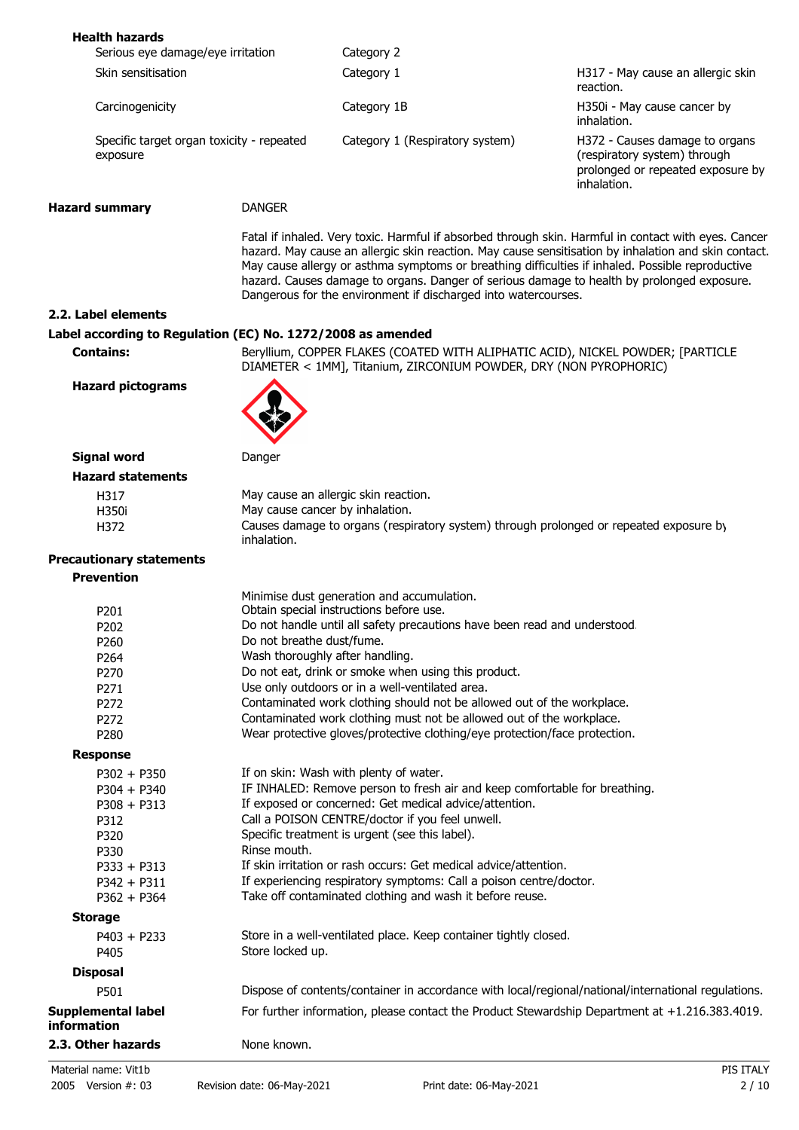| <b>Health hazards</b>                                       |                                                                      |                                                                                                                                                                                                                                                                  |                                                                                                                                                                                                              |
|-------------------------------------------------------------|----------------------------------------------------------------------|------------------------------------------------------------------------------------------------------------------------------------------------------------------------------------------------------------------------------------------------------------------|--------------------------------------------------------------------------------------------------------------------------------------------------------------------------------------------------------------|
| Serious eye damage/eye irritation                           |                                                                      | Category 2                                                                                                                                                                                                                                                       |                                                                                                                                                                                                              |
| Skin sensitisation                                          |                                                                      | Category 1                                                                                                                                                                                                                                                       | H317 - May cause an allergic skin<br>reaction.                                                                                                                                                               |
| Carcinogenicity                                             |                                                                      | Category 1B                                                                                                                                                                                                                                                      | H350i - May cause cancer by<br>inhalation.                                                                                                                                                                   |
| Specific target organ toxicity - repeated<br>exposure       |                                                                      | Category 1 (Respiratory system)                                                                                                                                                                                                                                  | H372 - Causes damage to organs<br>(respiratory system) through<br>prolonged or repeated exposure by<br>inhalation.                                                                                           |
| <b>Hazard summary</b>                                       | <b>DANGER</b>                                                        |                                                                                                                                                                                                                                                                  |                                                                                                                                                                                                              |
|                                                             |                                                                      | May cause allergy or asthma symptoms or breathing difficulties if inhaled. Possible reproductive<br>hazard. Causes damage to organs. Danger of serious damage to health by prolonged exposure.<br>Dangerous for the environment if discharged into watercourses. | Fatal if inhaled. Very toxic. Harmful if absorbed through skin. Harmful in contact with eyes. Cancer<br>hazard. May cause an allergic skin reaction. May cause sensitisation by inhalation and skin contact. |
| 2.2. Label elements                                         |                                                                      |                                                                                                                                                                                                                                                                  |                                                                                                                                                                                                              |
| Label according to Regulation (EC) No. 1272/2008 as amended |                                                                      |                                                                                                                                                                                                                                                                  |                                                                                                                                                                                                              |
| <b>Contains:</b>                                            |                                                                      | Beryllium, COPPER FLAKES (COATED WITH ALIPHATIC ACID), NICKEL POWDER; [PARTICLE<br>DIAMETER < 1MM], Titanium, ZIRCONIUM POWDER, DRY (NON PYROPHORIC)                                                                                                             |                                                                                                                                                                                                              |
| <b>Hazard pictograms</b>                                    |                                                                      |                                                                                                                                                                                                                                                                  |                                                                                                                                                                                                              |
| <b>Signal word</b>                                          | Danger                                                               |                                                                                                                                                                                                                                                                  |                                                                                                                                                                                                              |
| <b>Hazard statements</b>                                    |                                                                      |                                                                                                                                                                                                                                                                  |                                                                                                                                                                                                              |
| H317                                                        |                                                                      | May cause an allergic skin reaction.                                                                                                                                                                                                                             |                                                                                                                                                                                                              |
| H350i                                                       |                                                                      | May cause cancer by inhalation.                                                                                                                                                                                                                                  |                                                                                                                                                                                                              |
| H372                                                        | inhalation.                                                          | Causes damage to organs (respiratory system) through prolonged or repeated exposure by                                                                                                                                                                           |                                                                                                                                                                                                              |
| <b>Precautionary statements</b>                             |                                                                      |                                                                                                                                                                                                                                                                  |                                                                                                                                                                                                              |
| <b>Prevention</b>                                           |                                                                      |                                                                                                                                                                                                                                                                  |                                                                                                                                                                                                              |
|                                                             |                                                                      | Minimise dust generation and accumulation.                                                                                                                                                                                                                       |                                                                                                                                                                                                              |
| P201                                                        |                                                                      | Obtain special instructions before use.                                                                                                                                                                                                                          |                                                                                                                                                                                                              |
| P202                                                        |                                                                      | Do not handle until all safety precautions have been read and understood.                                                                                                                                                                                        |                                                                                                                                                                                                              |
| P260                                                        | Do not breathe dust/fume.                                            |                                                                                                                                                                                                                                                                  |                                                                                                                                                                                                              |
| P264                                                        |                                                                      | Wash thoroughly after handling.                                                                                                                                                                                                                                  |                                                                                                                                                                                                              |
| P270                                                        |                                                                      | Do not eat, drink or smoke when using this product.                                                                                                                                                                                                              |                                                                                                                                                                                                              |
| P271                                                        |                                                                      | Use only outdoors or in a well-ventilated area.                                                                                                                                                                                                                  |                                                                                                                                                                                                              |
| P272                                                        |                                                                      | Contaminated work clothing should not be allowed out of the workplace.                                                                                                                                                                                           |                                                                                                                                                                                                              |
| P272                                                        | Contaminated work clothing must not be allowed out of the workplace. |                                                                                                                                                                                                                                                                  |                                                                                                                                                                                                              |
| P280                                                        |                                                                      | Wear protective gloves/protective clothing/eye protection/face protection.                                                                                                                                                                                       |                                                                                                                                                                                                              |
| <b>Response</b>                                             |                                                                      |                                                                                                                                                                                                                                                                  |                                                                                                                                                                                                              |
| $P302 + P350$                                               |                                                                      | If on skin: Wash with plenty of water.                                                                                                                                                                                                                           |                                                                                                                                                                                                              |
| $P304 + P340$                                               |                                                                      | IF INHALED: Remove person to fresh air and keep comfortable for breathing.                                                                                                                                                                                       |                                                                                                                                                                                                              |
| $P308 + P313$                                               |                                                                      | If exposed or concerned: Get medical advice/attention.                                                                                                                                                                                                           |                                                                                                                                                                                                              |
| P312                                                        |                                                                      | Call a POISON CENTRE/doctor if you feel unwell.                                                                                                                                                                                                                  |                                                                                                                                                                                                              |
| P320                                                        |                                                                      | Specific treatment is urgent (see this label).                                                                                                                                                                                                                   |                                                                                                                                                                                                              |
| P330                                                        | Rinse mouth.                                                         |                                                                                                                                                                                                                                                                  |                                                                                                                                                                                                              |
| $P333 + P313$                                               |                                                                      | If skin irritation or rash occurs: Get medical advice/attention.                                                                                                                                                                                                 |                                                                                                                                                                                                              |
| $P342 + P311$                                               |                                                                      | If experiencing respiratory symptoms: Call a poison centre/doctor.                                                                                                                                                                                               |                                                                                                                                                                                                              |
| $P362 + P364$                                               |                                                                      | Take off contaminated clothing and wash it before reuse.                                                                                                                                                                                                         |                                                                                                                                                                                                              |
| <b>Storage</b>                                              |                                                                      |                                                                                                                                                                                                                                                                  |                                                                                                                                                                                                              |
| $P403 + P233$<br>P405                                       | Store locked up.                                                     | Store in a well-ventilated place. Keep container tightly closed.                                                                                                                                                                                                 |                                                                                                                                                                                                              |
| <b>Disposal</b>                                             |                                                                      |                                                                                                                                                                                                                                                                  |                                                                                                                                                                                                              |
| P501                                                        |                                                                      | Dispose of contents/container in accordance with local/regional/national/international regulations.                                                                                                                                                              |                                                                                                                                                                                                              |
| Supplemental label<br>information                           |                                                                      | For further information, please contact the Product Stewardship Department at +1.216.383.4019.                                                                                                                                                                   |                                                                                                                                                                                                              |
| 2.3. Other hazards                                          | None known.                                                          |                                                                                                                                                                                                                                                                  |                                                                                                                                                                                                              |
|                                                             |                                                                      |                                                                                                                                                                                                                                                                  |                                                                                                                                                                                                              |
| Material name: Vit1b                                        |                                                                      |                                                                                                                                                                                                                                                                  | PIS ITALY                                                                                                                                                                                                    |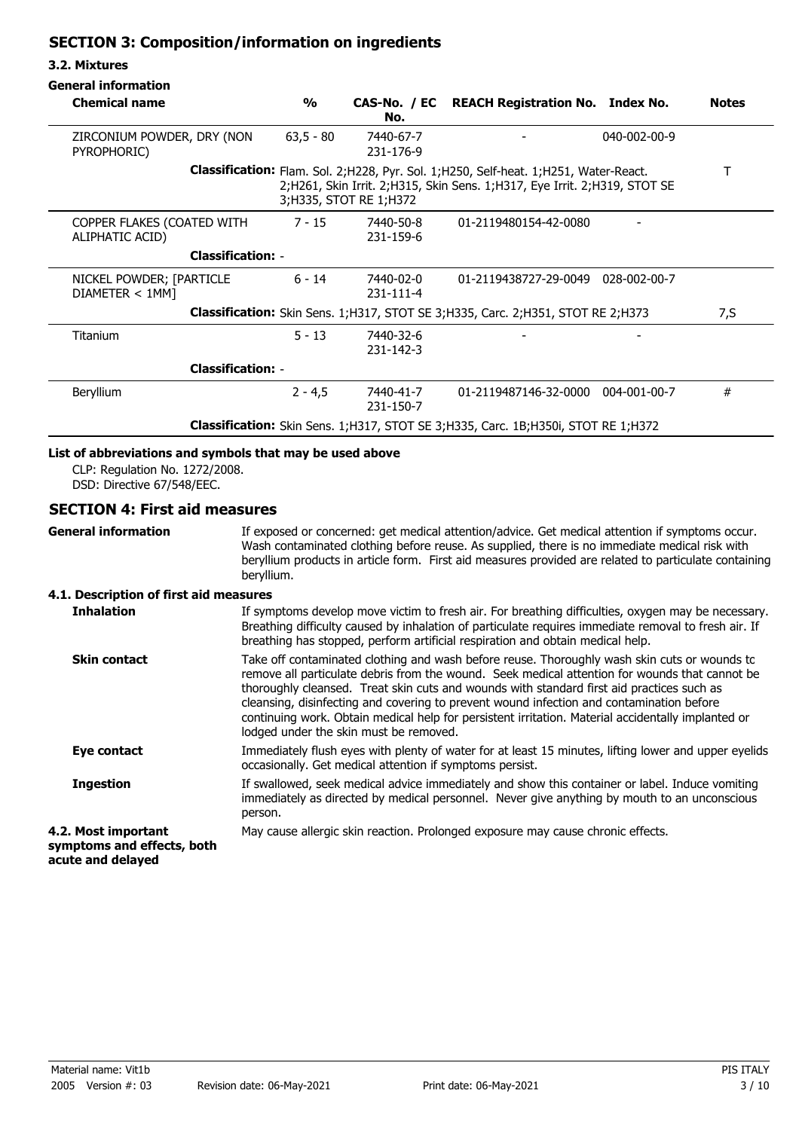## **SECTION 3: Composition/information on ingredients**

### **3.2. Mixtures**

| <b>Chemical name</b>                                                                       | $\frac{1}{2}$ | No.                      | CAS-No. / EC REACH Registration No. Index No.                                                                                                                            | <b>Notes</b> |
|--------------------------------------------------------------------------------------------|---------------|--------------------------|--------------------------------------------------------------------------------------------------------------------------------------------------------------------------|--------------|
| ZIRCONIUM POWDER, DRY (NON<br>PYROPHORIC)                                                  | $63,5 - 80$   | 7440-67-7<br>231-176-9   |                                                                                                                                                                          | 040-002-00-9 |
|                                                                                            |               | 3; H335, STOT RE 1; H372 | <b>Classification:</b> Flam. Sol. 2;H228, Pyr. Sol. 1;H250, Self-heat. 1;H251, Water-React.<br>2;H261, Skin Irrit. 2;H315, Skin Sens. 1;H317, Eye Irrit. 2;H319, STOT SE |              |
| COPPER FLAKES (COATED WITH<br>ALIPHATIC ACID)                                              | $7 - 15$      | 7440-50-8<br>231-159-6   | 01-2119480154-42-0080                                                                                                                                                    |              |
| <b>Classification: -</b>                                                                   |               |                          |                                                                                                                                                                          |              |
| NICKEL POWDER; [PARTICLE<br>DIAMETER < 1MM                                                 | $6 - 14$      | 7440-02-0<br>231-111-4   | 01-2119438727-29-0049 028-002-00-7                                                                                                                                       |              |
| Classification: Skin Sens. 1; H317, STOT SE 3; H335, Carc. 2; H351, STOT RE 2; H373<br>7,S |               |                          |                                                                                                                                                                          |              |
| <b>Titanium</b>                                                                            | $5 - 13$      | 7440-32-6<br>231-142-3   |                                                                                                                                                                          |              |
| <b>Classification: -</b>                                                                   |               |                          |                                                                                                                                                                          |              |
| <b>Beryllium</b>                                                                           | $2 - 4.5$     | 7440-41-7<br>231-150-7   | 01-2119487146-32-0000 004-001-00-7                                                                                                                                       | #            |
| Classification: Skin Sens. 1; H317, STOT SE 3; H335, Carc. 1B; H350i, STOT RE 1; H372      |               |                          |                                                                                                                                                                          |              |

## **List of abbreviations and symbols that may be used above**

CLP: Regulation No. 1272/2008. DSD: Directive 67/548/EEC.

## **SECTION 4: First aid measures**

**General information**

If exposed or concerned: get medical attention/advice. Get medical attention if symptoms occur. Wash contaminated clothing before reuse. As supplied, there is no immediate medical risk with beryllium products in article form. First aid measures provided are related to particulate containing beryllium.

## **4.1. Description of first aid measures**

| <b>Inhalation</b>                                                      | If symptoms develop move victim to fresh air. For breathing difficulties, oxygen may be necessary.<br>Breathing difficulty caused by inhalation of particulate requires immediate removal to fresh air. If<br>breathing has stopped, perform artificial respiration and obtain medical help.                                                                                                                                                                                                                                            |
|------------------------------------------------------------------------|-----------------------------------------------------------------------------------------------------------------------------------------------------------------------------------------------------------------------------------------------------------------------------------------------------------------------------------------------------------------------------------------------------------------------------------------------------------------------------------------------------------------------------------------|
| <b>Skin contact</b>                                                    | Take off contaminated clothing and wash before reuse. Thoroughly wash skin cuts or wounds to<br>remove all particulate debris from the wound. Seek medical attention for wounds that cannot be<br>thoroughly cleansed. Treat skin cuts and wounds with standard first aid practices such as<br>cleansing, disinfecting and covering to prevent wound infection and contamination before<br>continuing work. Obtain medical help for persistent irritation. Material accidentally implanted or<br>lodged under the skin must be removed. |
| Eye contact                                                            | Immediately flush eyes with plenty of water for at least 15 minutes, lifting lower and upper eyelids<br>occasionally. Get medical attention if symptoms persist.                                                                                                                                                                                                                                                                                                                                                                        |
| <b>Ingestion</b>                                                       | If swallowed, seek medical advice immediately and show this container or label. Induce vomiting<br>immediately as directed by medical personnel. Never give anything by mouth to an unconscious<br>person.                                                                                                                                                                                                                                                                                                                              |
| 4.2. Most important<br>symptoms and effects, both<br>acute and delayed | May cause allergic skin reaction. Prolonged exposure may cause chronic effects.                                                                                                                                                                                                                                                                                                                                                                                                                                                         |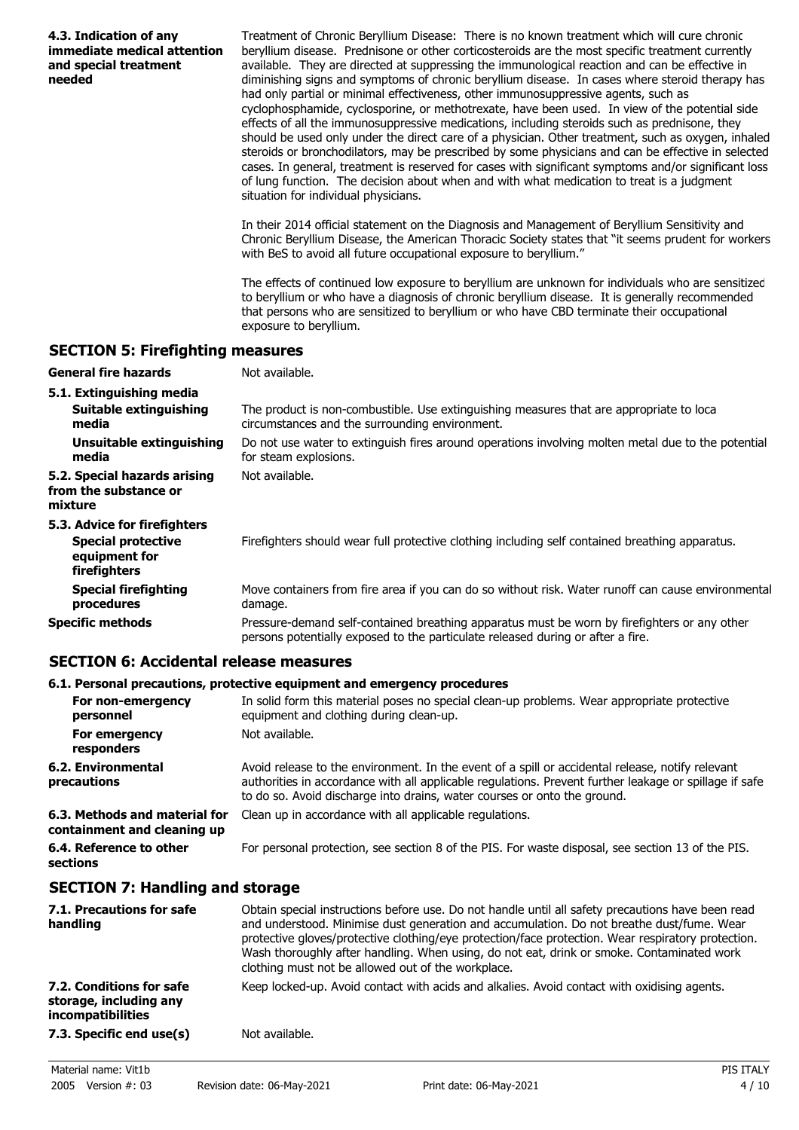| 4.3. Indication of any<br>immediate medical attention<br>and special treatment<br>needed | Treatment of Chronic Beryllium Disease: There is no known treatment which will cure chronic<br>beryllium disease. Prednisone or other corticosteroids are the most specific treatment currently<br>available. They are directed at suppressing the immunological reaction and can be effective in<br>diminishing signs and symptoms of chronic beryllium disease. In cases where steroid therapy has<br>had only partial or minimal effectiveness, other immunosuppressive agents, such as<br>cyclophosphamide, cyclosporine, or methotrexate, have been used. In view of the potential side<br>effects of all the immunosuppressive medications, including steroids such as prednisone, they<br>should be used only under the direct care of a physician. Other treatment, such as oxygen, inhaled<br>steroids or bronchodilators, may be prescribed by some physicians and can be effective in selected<br>cases. In general, treatment is reserved for cases with significant symptoms and/or significant loss<br>of lung function. The decision about when and with what medication to treat is a judgment<br>situation for individual physicians.<br>In their 2014 official statement on the Diagnosis and Management of Beryllium Sensitivity and |
|------------------------------------------------------------------------------------------|---------------------------------------------------------------------------------------------------------------------------------------------------------------------------------------------------------------------------------------------------------------------------------------------------------------------------------------------------------------------------------------------------------------------------------------------------------------------------------------------------------------------------------------------------------------------------------------------------------------------------------------------------------------------------------------------------------------------------------------------------------------------------------------------------------------------------------------------------------------------------------------------------------------------------------------------------------------------------------------------------------------------------------------------------------------------------------------------------------------------------------------------------------------------------------------------------------------------------------------------------------|
|                                                                                          | Chronic Beryllium Disease, the American Thoracic Society states that "it seems prudent for workers<br>with BeS to avoid all future occupational exposure to beryllium."                                                                                                                                                                                                                                                                                                                                                                                                                                                                                                                                                                                                                                                                                                                                                                                                                                                                                                                                                                                                                                                                                 |
|                                                                                          | The effects of continued low exposure to beryllium are unknown for individuals who are sensitized<br>to beryllium or who have a diagnosis of chronic beryllium disease. It is generally recommended<br>that persons who are sensitized to beryllium or who have CBD terminate their occupational<br>exposure to beryllium.                                                                                                                                                                                                                                                                                                                                                                                                                                                                                                                                                                                                                                                                                                                                                                                                                                                                                                                              |
| <b>SECTION 5: Firefighting measures</b>                                                  |                                                                                                                                                                                                                                                                                                                                                                                                                                                                                                                                                                                                                                                                                                                                                                                                                                                                                                                                                                                                                                                                                                                                                                                                                                                         |
| <b>General fire hazards</b>                                                              | Not available.                                                                                                                                                                                                                                                                                                                                                                                                                                                                                                                                                                                                                                                                                                                                                                                                                                                                                                                                                                                                                                                                                                                                                                                                                                          |
| 5.1. Extinguishing media                                                                 |                                                                                                                                                                                                                                                                                                                                                                                                                                                                                                                                                                                                                                                                                                                                                                                                                                                                                                                                                                                                                                                                                                                                                                                                                                                         |
| Suitable extinguishing<br>media                                                          | The product is non-combustible. Use extinguishing measures that are appropriate to loca<br>circumstances and the surrounding environment.                                                                                                                                                                                                                                                                                                                                                                                                                                                                                                                                                                                                                                                                                                                                                                                                                                                                                                                                                                                                                                                                                                               |
| <b>Unsuitable extinguishing</b><br>media                                                 | Do not use water to extinguish fires around operations involving molten metal due to the potential<br>for steam explosions.                                                                                                                                                                                                                                                                                                                                                                                                                                                                                                                                                                                                                                                                                                                                                                                                                                                                                                                                                                                                                                                                                                                             |
| 5.2. Special hazards arising<br>from the substance or<br>mixture                         | Not available.                                                                                                                                                                                                                                                                                                                                                                                                                                                                                                                                                                                                                                                                                                                                                                                                                                                                                                                                                                                                                                                                                                                                                                                                                                          |
| 5.3. Advice for firefighters                                                             |                                                                                                                                                                                                                                                                                                                                                                                                                                                                                                                                                                                                                                                                                                                                                                                                                                                                                                                                                                                                                                                                                                                                                                                                                                                         |
| <b>Special protective</b><br>equipment for<br>firefighters                               | Firefighters should wear full protective clothing including self contained breathing apparatus.                                                                                                                                                                                                                                                                                                                                                                                                                                                                                                                                                                                                                                                                                                                                                                                                                                                                                                                                                                                                                                                                                                                                                         |
| <b>Special firefighting</b><br>procedures                                                | Move containers from fire area if you can do so without risk. Water runoff can cause environmental<br>damage.                                                                                                                                                                                                                                                                                                                                                                                                                                                                                                                                                                                                                                                                                                                                                                                                                                                                                                                                                                                                                                                                                                                                           |
| <b>Specific methods</b>                                                                  | Pressure-demand self-contained breathing apparatus must be worn by firefighters or any other<br>persons potentially exposed to the particulate released during or after a fire.                                                                                                                                                                                                                                                                                                                                                                                                                                                                                                                                                                                                                                                                                                                                                                                                                                                                                                                                                                                                                                                                         |
| <b>SECTION 6: Accidental release measures</b>                                            |                                                                                                                                                                                                                                                                                                                                                                                                                                                                                                                                                                                                                                                                                                                                                                                                                                                                                                                                                                                                                                                                                                                                                                                                                                                         |

## **6.1. Personal precautions, protective equipment and emergency procedures**

|                                                              | oral i crocini predugionoj protective eguipment unu cinergenej protegui es                                                                                                                                                                                                             |
|--------------------------------------------------------------|----------------------------------------------------------------------------------------------------------------------------------------------------------------------------------------------------------------------------------------------------------------------------------------|
| For non-emergency<br>personnel                               | In solid form this material poses no special clean-up problems. Wear appropriate protective<br>equipment and clothing during clean-up.                                                                                                                                                 |
| For emergency<br>responders                                  | Not available.                                                                                                                                                                                                                                                                         |
| 6.2. Environmental<br>precautions                            | Avoid release to the environment. In the event of a spill or accidental release, notify relevant<br>authorities in accordance with all applicable regulations. Prevent further leakage or spillage if safe<br>to do so. Avoid discharge into drains, water courses or onto the ground. |
| 6.3. Methods and material for<br>containment and cleaning up | Clean up in accordance with all applicable regulations.                                                                                                                                                                                                                                |
| 6.4. Reference to other<br>sections                          | For personal protection, see section 8 of the PIS. For waste disposal, see section 13 of the PIS.                                                                                                                                                                                      |

# **SECTION 7: Handling and storage**

| 7.1. Precautions for safe<br>handling                                          | Obtain special instructions before use. Do not handle until all safety precautions have been read<br>and understood. Minimise dust generation and accumulation. Do not breathe dust/fume. Wear<br>protective gloves/protective clothing/eye protection/face protection. Wear respiratory protection.<br>Wash thoroughly after handling. When using, do not eat, drink or smoke. Contaminated work<br>clothing must not be allowed out of the workplace. |
|--------------------------------------------------------------------------------|---------------------------------------------------------------------------------------------------------------------------------------------------------------------------------------------------------------------------------------------------------------------------------------------------------------------------------------------------------------------------------------------------------------------------------------------------------|
| 7.2. Conditions for safe<br>storage, including any<br><i>incompatibilities</i> | Keep locked-up. Avoid contact with acids and alkalies. Avoid contact with oxidising agents.                                                                                                                                                                                                                                                                                                                                                             |
| 7.3. Specific end use(s)                                                       | Not available.                                                                                                                                                                                                                                                                                                                                                                                                                                          |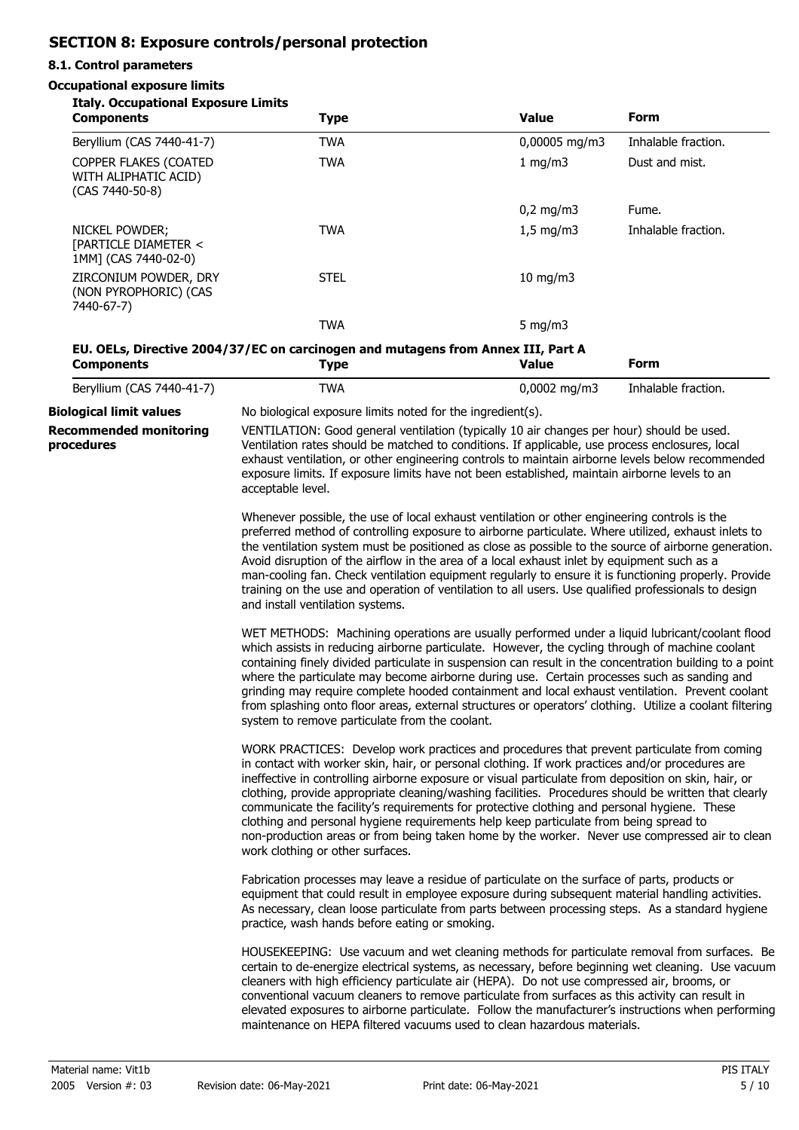# **SECTION 8: Exposure controls/personal protection**

## **8.1. Control parameters**

## **Occupational exposure limits**

| <b>Italy. Occupational Exposure Limits</b><br><b>Components</b>  | <b>Type</b>                                                                                                                                                                                                                                                                                                                                                                                                                                                                                                                                                                                                                                                                                                                                  | <b>Value</b>   | <b>Form</b>         |  |
|------------------------------------------------------------------|----------------------------------------------------------------------------------------------------------------------------------------------------------------------------------------------------------------------------------------------------------------------------------------------------------------------------------------------------------------------------------------------------------------------------------------------------------------------------------------------------------------------------------------------------------------------------------------------------------------------------------------------------------------------------------------------------------------------------------------------|----------------|---------------------|--|
| Beryllium (CAS 7440-41-7)                                        | <b>TWA</b>                                                                                                                                                                                                                                                                                                                                                                                                                                                                                                                                                                                                                                                                                                                                   | 0,00005 mg/m3  | Inhalable fraction. |  |
| COPPER FLAKES (COATED<br>WITH ALIPHATIC ACID)<br>(CAS 7440-50-8) | <b>TWA</b>                                                                                                                                                                                                                                                                                                                                                                                                                                                                                                                                                                                                                                                                                                                                   | 1 mg/m3        | Dust and mist.      |  |
|                                                                  |                                                                                                                                                                                                                                                                                                                                                                                                                                                                                                                                                                                                                                                                                                                                              | $0,2$ mg/m3    | Fume.               |  |
| NICKEL POWDER;<br>[PARTICLE DIAMETER <<br>1MM] (CAS 7440-02-0)   | <b>TWA</b>                                                                                                                                                                                                                                                                                                                                                                                                                                                                                                                                                                                                                                                                                                                                   | $1,5$ mg/m3    | Inhalable fraction. |  |
| ZIRCONIUM POWDER, DRY<br>(NON PYROPHORIC) (CAS<br>7440-67-7)     | <b>STEL</b>                                                                                                                                                                                                                                                                                                                                                                                                                                                                                                                                                                                                                                                                                                                                  | 10 mg/m3       |                     |  |
|                                                                  | <b>TWA</b>                                                                                                                                                                                                                                                                                                                                                                                                                                                                                                                                                                                                                                                                                                                                   | 5 mg/m $3$     |                     |  |
| <b>Components</b>                                                | EU. OELs, Directive 2004/37/EC on carcinogen and mutagens from Annex III, Part A<br><b>Type</b>                                                                                                                                                                                                                                                                                                                                                                                                                                                                                                                                                                                                                                              | <b>Value</b>   | <b>Form</b>         |  |
| Beryllium (CAS 7440-41-7)                                        | <b>TWA</b>                                                                                                                                                                                                                                                                                                                                                                                                                                                                                                                                                                                                                                                                                                                                   | $0,0002$ mg/m3 | Inhalable fraction. |  |
| <b>Biological limit values</b>                                   | No biological exposure limits noted for the ingredient(s).                                                                                                                                                                                                                                                                                                                                                                                                                                                                                                                                                                                                                                                                                   |                |                     |  |
| <b>Recommended monitoring</b><br>procedures                      | VENTILATION: Good general ventilation (typically 10 air changes per hour) should be used.<br>Ventilation rates should be matched to conditions. If applicable, use process enclosures, local<br>exhaust ventilation, or other engineering controls to maintain airborne levels below recommended<br>exposure limits. If exposure limits have not been established, maintain airborne levels to an<br>acceptable level.                                                                                                                                                                                                                                                                                                                       |                |                     |  |
|                                                                  | Whenever possible, the use of local exhaust ventilation or other engineering controls is the<br>preferred method of controlling exposure to airborne particulate. Where utilized, exhaust inlets to<br>the ventilation system must be positioned as close as possible to the source of airborne generation.<br>Avoid disruption of the airflow in the area of a local exhaust inlet by equipment such as a<br>man-cooling fan. Check ventilation equipment regularly to ensure it is functioning properly. Provide<br>training on the use and operation of ventilation to all users. Use qualified professionals to design<br>and install ventilation systems.                                                                               |                |                     |  |
|                                                                  | WET METHODS: Machining operations are usually performed under a liquid lubricant/coolant flood<br>which assists in reducing airborne particulate. However, the cycling through of machine coolant<br>containing finely divided particulate in suspension can result in the concentration building to a point<br>where the particulate may become airborne during use. Certain processes such as sanding and<br>grinding may require complete hooded containment and local exhaust ventilation. Prevent coolant<br>from splashing onto floor areas, external structures or operators' clothing. Utilize a coolant filtering<br>system to remove particulate from the coolant.                                                                 |                |                     |  |
|                                                                  | WORK PRACTICES: Develop work practices and procedures that prevent particulate from coming<br>in contact with worker skin, hair, or personal clothing. If work practices and/or procedures are<br>ineffective in controlling airborne exposure or visual particulate from deposition on skin, hair, or<br>clothing, provide appropriate cleaning/washing facilities. Procedures should be written that clearly<br>communicate the facility's requirements for protective clothing and personal hygiene. These<br>clothing and personal hygiene requirements help keep particulate from being spread to<br>non-production areas or from being taken home by the worker. Never use compressed air to clean<br>work clothing or other surfaces. |                |                     |  |
|                                                                  | Fabrication processes may leave a residue of particulate on the surface of parts, products or<br>equipment that could result in employee exposure during subsequent material handling activities.<br>As necessary, clean loose particulate from parts between processing steps. As a standard hygiene<br>practice, wash hands before eating or smoking.                                                                                                                                                                                                                                                                                                                                                                                      |                |                     |  |
|                                                                  | HOUSEKEEPING: Use vacuum and wet cleaning methods for particulate removal from surfaces. Be<br>certain to de-energize electrical systems, as necessary, before beginning wet cleaning. Use vacuum<br>cleaners with high efficiency particulate air (HEPA). Do not use compressed air, brooms, or<br>conventional vacuum cleaners to remove particulate from surfaces as this activity can result in<br>elevated exposures to airborne particulate. Follow the manufacturer's instructions when performing<br>maintenance on HEPA filtered vacuums used to clean hazardous materials.                                                                                                                                                         |                |                     |  |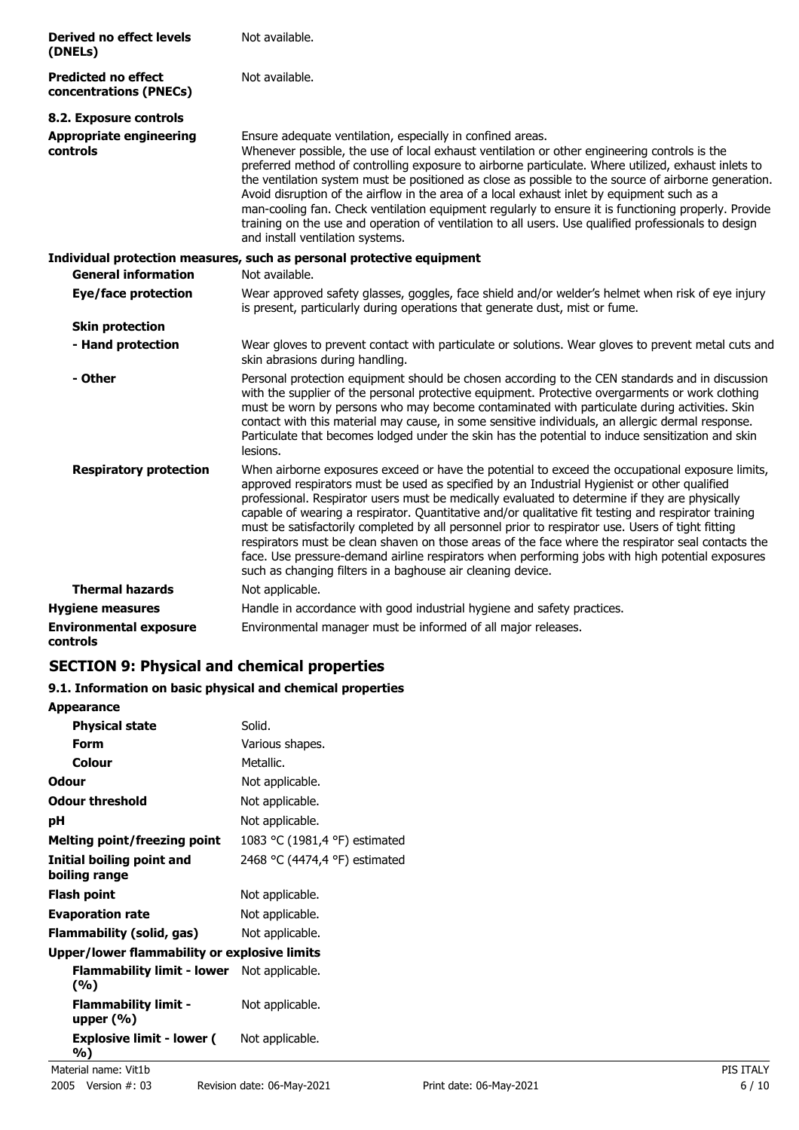| <b>Derived no effect levels</b><br>(DNELs)           | Not available.                                                                                                                                                                                                                                                                                                                                                                                                                                                                                                                                                                                                                                                                                                                                                                           |
|------------------------------------------------------|------------------------------------------------------------------------------------------------------------------------------------------------------------------------------------------------------------------------------------------------------------------------------------------------------------------------------------------------------------------------------------------------------------------------------------------------------------------------------------------------------------------------------------------------------------------------------------------------------------------------------------------------------------------------------------------------------------------------------------------------------------------------------------------|
| <b>Predicted no effect</b><br>concentrations (PNECs) | Not available.                                                                                                                                                                                                                                                                                                                                                                                                                                                                                                                                                                                                                                                                                                                                                                           |
| 8.2. Exposure controls                               |                                                                                                                                                                                                                                                                                                                                                                                                                                                                                                                                                                                                                                                                                                                                                                                          |
| <b>Appropriate engineering</b><br>controls           | Ensure adequate ventilation, especially in confined areas.<br>Whenever possible, the use of local exhaust ventilation or other engineering controls is the<br>preferred method of controlling exposure to airborne particulate. Where utilized, exhaust inlets to<br>the ventilation system must be positioned as close as possible to the source of airborne generation.<br>Avoid disruption of the airflow in the area of a local exhaust inlet by equipment such as a<br>man-cooling fan. Check ventilation equipment regularly to ensure it is functioning properly. Provide<br>training on the use and operation of ventilation to all users. Use qualified professionals to design<br>and install ventilation systems.                                                             |
|                                                      | Individual protection measures, such as personal protective equipment                                                                                                                                                                                                                                                                                                                                                                                                                                                                                                                                                                                                                                                                                                                    |
| <b>General information</b>                           | Not available.                                                                                                                                                                                                                                                                                                                                                                                                                                                                                                                                                                                                                                                                                                                                                                           |
| <b>Eye/face protection</b>                           | Wear approved safety glasses, goggles, face shield and/or welder's helmet when risk of eye injury<br>is present, particularly during operations that generate dust, mist or fume.                                                                                                                                                                                                                                                                                                                                                                                                                                                                                                                                                                                                        |
| <b>Skin protection</b>                               |                                                                                                                                                                                                                                                                                                                                                                                                                                                                                                                                                                                                                                                                                                                                                                                          |
| - Hand protection                                    | Wear gloves to prevent contact with particulate or solutions. Wear gloves to prevent metal cuts and<br>skin abrasions during handling.                                                                                                                                                                                                                                                                                                                                                                                                                                                                                                                                                                                                                                                   |
| - Other                                              | Personal protection equipment should be chosen according to the CEN standards and in discussion<br>with the supplier of the personal protective equipment. Protective overgarments or work clothing<br>must be worn by persons who may become contaminated with particulate during activities. Skin<br>contact with this material may cause, in some sensitive individuals, an allergic dermal response.<br>Particulate that becomes lodged under the skin has the potential to induce sensitization and skin<br>lesions.                                                                                                                                                                                                                                                                |
| <b>Respiratory protection</b>                        | When airborne exposures exceed or have the potential to exceed the occupational exposure limits,<br>approved respirators must be used as specified by an Industrial Hygienist or other qualified<br>professional. Respirator users must be medically evaluated to determine if they are physically<br>capable of wearing a respirator. Quantitative and/or qualitative fit testing and respirator training<br>must be satisfactorily completed by all personnel prior to respirator use. Users of tight fitting<br>respirators must be clean shaven on those areas of the face where the respirator seal contacts the<br>face. Use pressure-demand airline respirators when performing jobs with high potential exposures<br>such as changing filters in a baghouse air cleaning device. |
| <b>Thermal hazards</b>                               | Not applicable.                                                                                                                                                                                                                                                                                                                                                                                                                                                                                                                                                                                                                                                                                                                                                                          |
| <b>Hygiene measures</b>                              | Handle in accordance with good industrial hygiene and safety practices.                                                                                                                                                                                                                                                                                                                                                                                                                                                                                                                                                                                                                                                                                                                  |
| <b>Environmental exposure</b><br>controls            | Environmental manager must be informed of all major releases.                                                                                                                                                                                                                                                                                                                                                                                                                                                                                                                                                                                                                                                                                                                            |

## **SECTION 9: Physical and chemical properties**

## **9.1. Information on basic physical and chemical properties**

| <b>Appearance</b>                            |                               |           |
|----------------------------------------------|-------------------------------|-----------|
| <b>Physical state</b>                        | Solid.                        |           |
| <b>Form</b>                                  | Various shapes.               |           |
| <b>Colour</b>                                | Metallic.                     |           |
| <b>Odour</b>                                 | Not applicable.               |           |
| <b>Odour threshold</b>                       | Not applicable.               |           |
| pH                                           | Not applicable.               |           |
| <b>Melting point/freezing point</b>          | 1083 °C (1981,4 °F) estimated |           |
| Initial boiling point and<br>boiling range   | 2468 °C (4474,4 °F) estimated |           |
| <b>Flash point</b>                           | Not applicable.               |           |
| <b>Evaporation rate</b>                      | Not applicable.               |           |
| Flammability (solid, gas)                    | Not applicable.               |           |
| Upper/lower flammability or explosive limits |                               |           |
| <b>Flammability limit - lower</b><br>(%)     | Not applicable.               |           |
| <b>Flammability limit -</b><br>upper $(\% )$ | Not applicable.               |           |
| <b>Explosive limit - lower (</b><br>%)       | Not applicable.               |           |
| Material name: Vit1b                         |                               | PIS ITALY |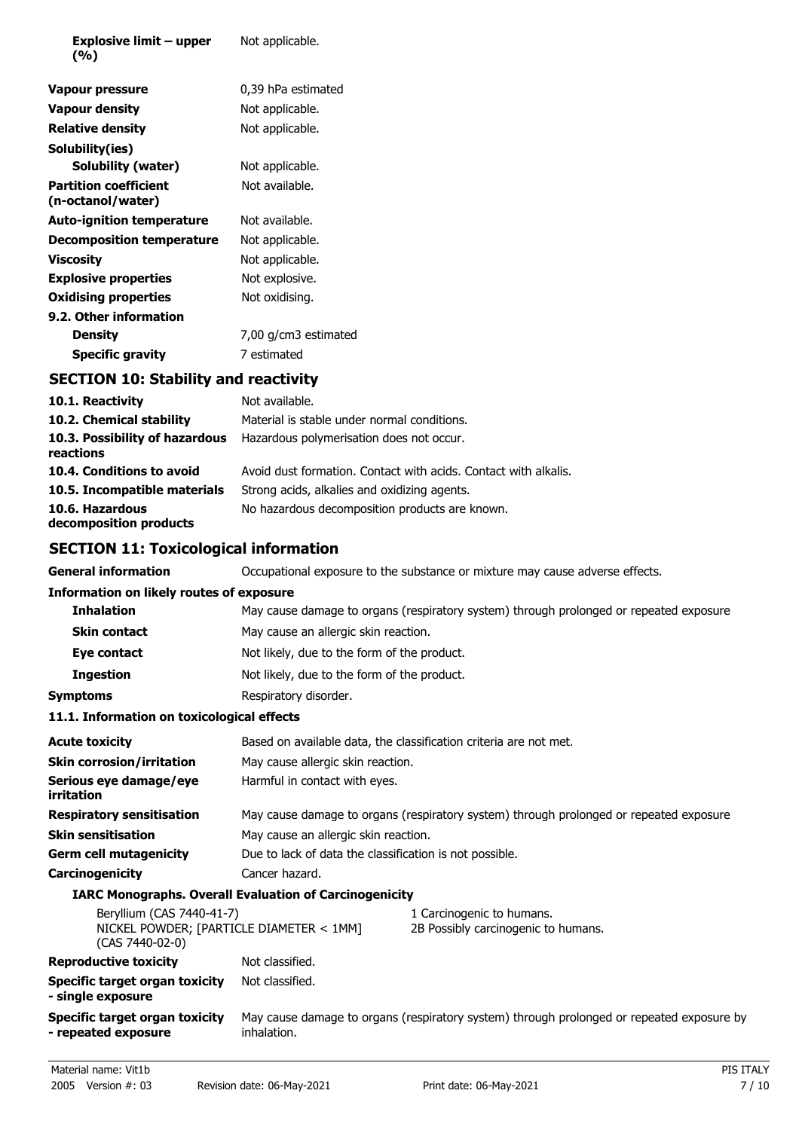| Explosive limit – upper<br>(%)                    | Not applicable.      |  |
|---------------------------------------------------|----------------------|--|
| Vapour pressure                                   | 0,39 hPa estimated   |  |
| <b>Vapour density</b>                             | Not applicable.      |  |
| <b>Relative density</b>                           | Not applicable.      |  |
| Solubility(ies)                                   |                      |  |
| Solubility (water)                                | Not applicable.      |  |
| <b>Partition coefficient</b><br>(n-octanol/water) | Not available.       |  |
| <b>Auto-ignition temperature</b>                  | Not available.       |  |
| <b>Decomposition temperature</b>                  | Not applicable.      |  |
| Viscosity                                         | Not applicable.      |  |
| <b>Explosive properties</b>                       | Not explosive.       |  |
| <b>Oxidising properties</b>                       | Not oxidising.       |  |
| 9.2. Other information                            |                      |  |
| <b>Density</b>                                    | 7,00 g/cm3 estimated |  |
| Specific gravity                                  | 7 estimated          |  |

# **SECTION 10: Stability and reactivity**

| 10.1. Reactivity                            | Not available.                                                  |
|---------------------------------------------|-----------------------------------------------------------------|
| 10.2. Chemical stability                    | Material is stable under normal conditions.                     |
| 10.3. Possibility of hazardous<br>reactions | Hazardous polymerisation does not occur.                        |
| 10.4. Conditions to avoid                   | Avoid dust formation. Contact with acids. Contact with alkalis. |
| 10.5. Incompatible materials                | Strong acids, alkalies and oxidizing agents.                    |
| 10.6. Hazardous<br>decomposition products   | No hazardous decomposition products are known.                  |

# **SECTION 11: Toxicological information**

| <b>General information</b>                                                               | Occupational exposure to the substance or mixture may cause adverse effects.            |                                                                                           |  |
|------------------------------------------------------------------------------------------|-----------------------------------------------------------------------------------------|-------------------------------------------------------------------------------------------|--|
| <b>Information on likely routes of exposure</b>                                          |                                                                                         |                                                                                           |  |
| <b>Inhalation</b>                                                                        |                                                                                         | May cause damage to organs (respiratory system) through prolonged or repeated exposure.   |  |
| <b>Skin contact</b>                                                                      | May cause an allergic skin reaction.                                                    |                                                                                           |  |
| Eye contact                                                                              | Not likely, due to the form of the product.                                             |                                                                                           |  |
| <b>Ingestion</b>                                                                         | Not likely, due to the form of the product.                                             |                                                                                           |  |
| <b>Symptoms</b>                                                                          | Respiratory disorder.                                                                   |                                                                                           |  |
| 11.1. Information on toxicological effects                                               |                                                                                         |                                                                                           |  |
| <b>Acute toxicity</b>                                                                    | Based on available data, the classification criteria are not met.                       |                                                                                           |  |
| <b>Skin corrosion/irritation</b>                                                         | May cause allergic skin reaction.                                                       |                                                                                           |  |
| Serious eye damage/eye<br>irritation                                                     | Harmful in contact with eyes.                                                           |                                                                                           |  |
| <b>Respiratory sensitisation</b>                                                         | May cause damage to organs (respiratory system) through prolonged or repeated exposure. |                                                                                           |  |
| <b>Skin sensitisation</b>                                                                | May cause an allergic skin reaction.                                                    |                                                                                           |  |
| <b>Germ cell mutagenicity</b>                                                            | Due to lack of data the classification is not possible.                                 |                                                                                           |  |
| Carcinogenicity                                                                          | Cancer hazard.                                                                          |                                                                                           |  |
|                                                                                          | <b>IARC Monographs. Overall Evaluation of Carcinogenicity</b>                           |                                                                                           |  |
| Beryllium (CAS 7440-41-7)<br>NICKEL POWDER; [PARTICLE DIAMETER < 1MM]<br>(CAS 7440-02-0) |                                                                                         | 1 Carcinogenic to humans.<br>2B Possibly carcinogenic to humans.                          |  |
| <b>Reproductive toxicity</b>                                                             | Not classified.                                                                         |                                                                                           |  |
| <b>Specific target organ toxicity</b><br>- single exposure                               | Not classified.                                                                         |                                                                                           |  |
| Specific target organ toxicity<br>- repeated exposure                                    | inhalation.                                                                             | May cause damage to organs (respiratory system) through prolonged or repeated exposure by |  |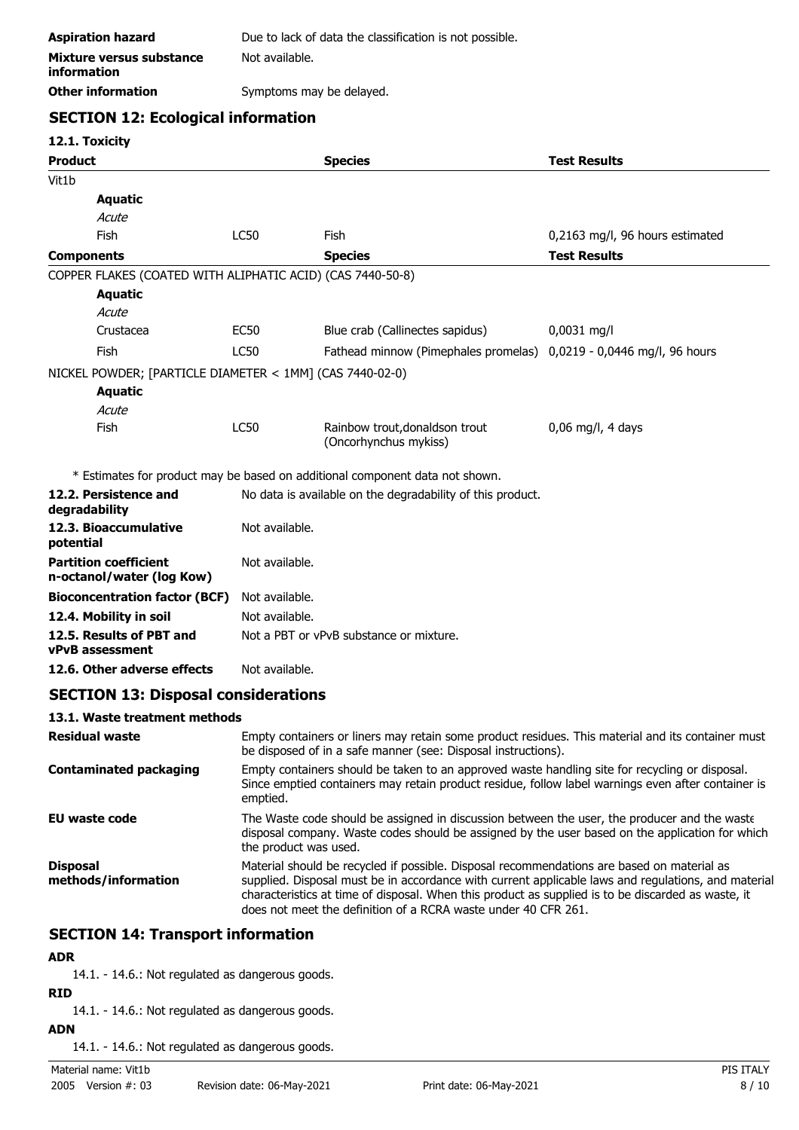| <b>Aspiration hazard</b>                | Due to lack of data the classification is not possible. |
|-----------------------------------------|---------------------------------------------------------|
| Mixture versus substance<br>information | Not available.                                          |
| <b>Other information</b>                | Symptoms may be delayed.                                |

## **SECTION 12: Ecological information**

## **12.1. Toxicity**

| <b>Product</b>                                             |                                                            | <b>Species</b>                                                               | <b>Test Results</b>             |
|------------------------------------------------------------|------------------------------------------------------------|------------------------------------------------------------------------------|---------------------------------|
| Vit1b                                                      |                                                            |                                                                              |                                 |
| <b>Aquatic</b>                                             |                                                            |                                                                              |                                 |
| Acute                                                      |                                                            |                                                                              |                                 |
| Fish                                                       | <b>LC50</b>                                                | Fish                                                                         | 0,2163 mg/l, 96 hours estimated |
| <b>Components</b>                                          |                                                            | <b>Species</b>                                                               | <b>Test Results</b>             |
| COPPER FLAKES (COATED WITH ALIPHATIC ACID) (CAS 7440-50-8) |                                                            |                                                                              |                                 |
| <b>Aquatic</b>                                             |                                                            |                                                                              |                                 |
| Acute                                                      |                                                            |                                                                              |                                 |
| Crustacea                                                  | <b>EC50</b>                                                | Blue crab (Callinectes sapidus)                                              | $0,0031$ mg/l                   |
| Fish                                                       | <b>LC50</b>                                                | Fathead minnow (Pimephales promelas) 0,0219 - 0,0446 mg/l, 96 hours          |                                 |
| NICKEL POWDER; [PARTICLE DIAMETER < 1MM] (CAS 7440-02-0)   |                                                            |                                                                              |                                 |
| <b>Aquatic</b>                                             |                                                            |                                                                              |                                 |
| Acute                                                      |                                                            |                                                                              |                                 |
| Fish                                                       | <b>LC50</b>                                                | Rainbow trout, donaldson trout<br>(Oncorhynchus mykiss)                      | $0,06$ mg/l, 4 days             |
|                                                            |                                                            | * Estimates for product may be based on additional component data not shown. |                                 |
| 12.2. Persistence and<br>degradability                     | No data is available on the degradability of this product. |                                                                              |                                 |
| 12.3. Bioaccumulative<br>potential                         | Not available.                                             |                                                                              |                                 |
| <b>Partition coefficient</b><br>n-octanol/water (log Kow)  | Not available.                                             |                                                                              |                                 |
| <b>Bioconcentration factor (BCF)</b>                       | Not available.                                             |                                                                              |                                 |
| 12.4. Mobility in soil                                     | Not available.                                             |                                                                              |                                 |
| 12.5. Results of PBT and<br><b>vPvB</b> assessment         |                                                            | Not a PBT or vPvB substance or mixture.                                      |                                 |
| 12.6. Other adverse effects                                | Not available.                                             |                                                                              |                                 |

## **SECTION 13: Disposal considerations**

## **13.1. Waste treatment methods**

| <b>Residual waste</b>                  | Empty containers or liners may retain some product residues. This material and its container must<br>be disposed of in a safe manner (see: Disposal instructions).                                                                                                                                                                                                        |
|----------------------------------------|---------------------------------------------------------------------------------------------------------------------------------------------------------------------------------------------------------------------------------------------------------------------------------------------------------------------------------------------------------------------------|
| <b>Contaminated packaging</b>          | Empty containers should be taken to an approved waste handling site for recycling or disposal.<br>Since emptied containers may retain product residue, follow label warnings even after container is<br>emptied.                                                                                                                                                          |
| EU waste code                          | The Waste code should be assigned in discussion between the user, the producer and the waste<br>disposal company. Waste codes should be assigned by the user based on the application for which<br>the product was used.                                                                                                                                                  |
| <b>Disposal</b><br>methods/information | Material should be recycled if possible. Disposal recommendations are based on material as<br>supplied. Disposal must be in accordance with current applicable laws and regulations, and material<br>characteristics at time of disposal. When this product as supplied is to be discarded as waste, it<br>does not meet the definition of a RCRA waste under 40 CFR 261. |

## **SECTION 14: Transport information**

## **ADR**

14.1. - 14.6.: Not regulated as dangerous goods.

## **RID**

14.1. - 14.6.: Not regulated as dangerous goods.

**ADN** 14.1. - 14.6.: Not regulated as dangerous goods.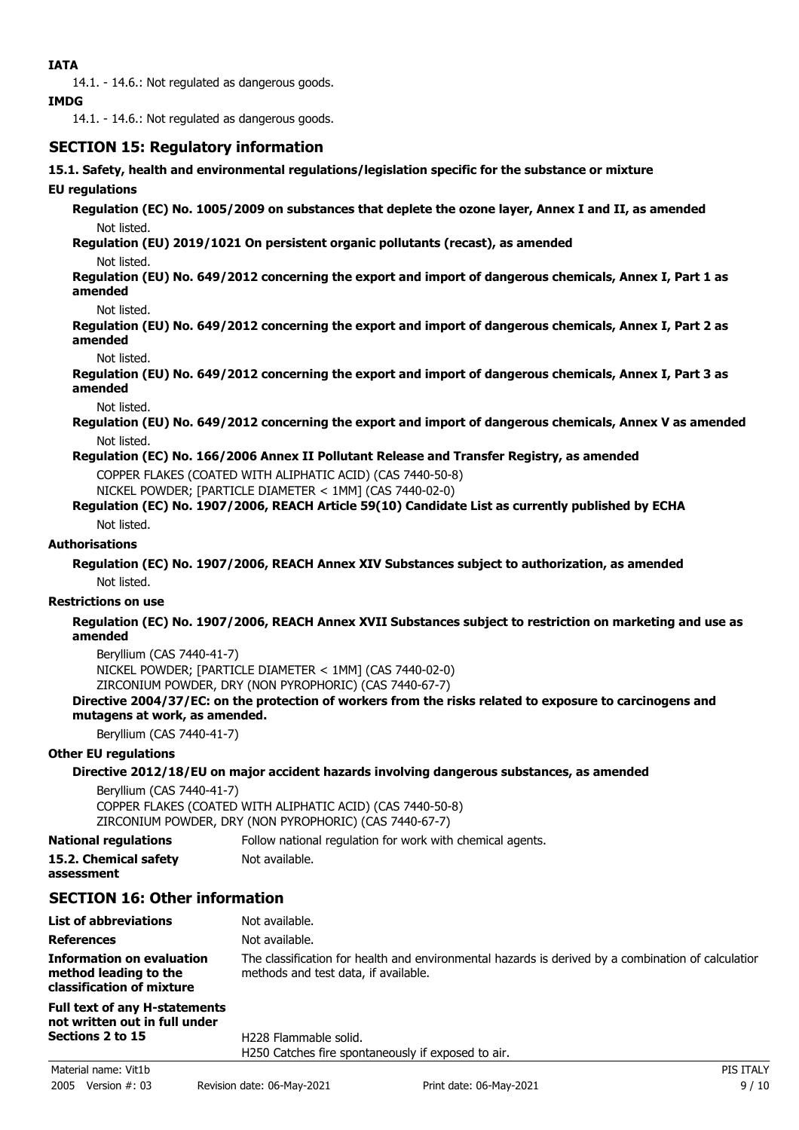14.1. - 14.6.: Not regulated as dangerous goods.

#### **IMDG**

14.1. - 14.6.: Not regulated as dangerous goods.

## **SECTION 15: Regulatory information**

**15.1. Safety, health and environmental regulations/legislation specific for the substance or mixture**

### **EU regulations**

**Regulation (EC) No. 1005/2009 on substances that deplete the ozone layer, Annex I and II, as amended** Not listed.

**Regulation (EU) 2019/1021 On persistent organic pollutants (recast), as amended**

Not listed.

**Regulation (EU) No. 649/2012 concerning the export and import of dangerous chemicals, Annex I, Part 1 as amended**

Not listed.

**Regulation (EU) No. 649/2012 concerning the export and import of dangerous chemicals, Annex I, Part 2 as amended**

Not listed.

**Regulation (EU) No. 649/2012 concerning the export and import of dangerous chemicals, Annex I, Part 3 as amended**

Not listed.

**Regulation (EU) No. 649/2012 concerning the export and import of dangerous chemicals, Annex V as amended** Not listed.

### **Regulation (EC) No. 166/2006 Annex II Pollutant Release and Transfer Registry, as amended**

COPPER FLAKES (COATED WITH ALIPHATIC ACID) (CAS 7440-50-8)

NICKEL POWDER; [PARTICLE DIAMETER < 1MM] (CAS 7440-02-0)

## **Regulation (EC) No. 1907/2006, REACH Article 59(10) Candidate List as currently published by ECHA**

Not listed.

### **Authorisations**

**Regulation (EC) No. 1907/2006, REACH Annex XIV Substances subject to authorization, as amended** Not listed.

#### **Restrictions on use**

**Regulation (EC) No. 1907/2006, REACH Annex XVII Substances subject to restriction on marketing and use as amended**

Beryllium (CAS 7440-41-7) NICKEL POWDER; [PARTICLE DIAMETER < 1MM] (CAS 7440-02-0) ZIRCONIUM POWDER, DRY (NON PYROPHORIC) (CAS 7440-67-7)

### **Directive 2004/37/EC: on the protection of workers from the risks related to exposure to carcinogens and mutagens at work, as amended.**

Beryllium (CAS 7440-41-7)

#### **Other EU regulations**

## **Directive 2012/18/EU on major accident hazards involving dangerous substances, as amended**

Beryllium (CAS 7440-41-7) COPPER FLAKES (COATED WITH ALIPHATIC ACID) (CAS 7440-50-8) ZIRCONIUM POWDER, DRY (NON PYROPHORIC) (CAS 7440-67-7)

**National regulations** Follow national regulation for work with chemical agents.

**15.2. Chemical safety** Not available.

**assessment**

## **SECTION 16: Other information**

| <b>List of abbreviations</b>                                                           | Not available.                                                                                                                             |
|----------------------------------------------------------------------------------------|--------------------------------------------------------------------------------------------------------------------------------------------|
| <b>References</b>                                                                      | Not available.                                                                                                                             |
| <b>Information on evaluation</b><br>method leading to the<br>classification of mixture | The classification for health and environmental hazards is derived by a combination of calculation<br>methods and test data, if available. |
| Full have of now High-homeonie                                                         |                                                                                                                                            |

#### **Full text of any H-statements not written out in full under Sections 2 to 15**

H228 Flammable solid. H250 Catches fire spontaneously if exposed to air.